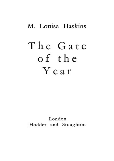# M. Louise Haskins

# The Gate of the Year

London Hodder and Stoughton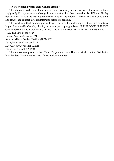#### **\* ADistributedProofreaders Canada eBook \***

This ebook is made available at no cost and with very few restrictions. These restrictions apply only if (1) you make a change in the ebook (other than alteration for different display devices), or (2) you are making commercial use of the ebook. If either of these conditions applies, please contact a FPadministrator before proceeding.

This work is in the Canadian public domain, but may be under copyright in some countries. If you live outside Canada, check your country's copyright laws. IF THE BOOK IS UNDER COPYRIGHT IN YOUR COUNTRY, DO NOT DOWNLOAD OR REDISTRIBUTE THIS FILE.

*Title:* The Gate of the Year

*Date of first publication:* 1940

*Author:* Minnie Louise Haskins (1875-1957)

*Date first posted:* Mar. 9, 2015

*Date last updated:* Mar. 9, 2015

Faded Page eBook #20150333

This ebook was produced by: Mardi Desjardins, Larry Harrison & the online Distributed Proofreaders Canada teamat http://www.pgdpcanada.net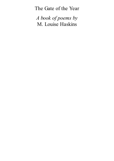The Gate of the Year

*A book of poems by* M. Louise Haskins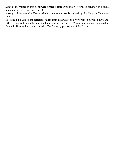Most of the verses in this book were written before 1906 and were printed privately in a small book named THE DESERT in about 1908.

Amongst these was Gop KNOWS, which contains the words quoted by the King on Christmas Day.

The remaining verses are selections taken from THE POTTER and were written between 1908 and 1917. Of these a few had been printed in magazines, including WOMEN TO MEN which appeared in *Punch* in 1916, and was reproduced in THE POTTER by permission of the Editor.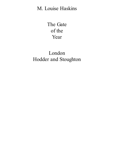# M. Louise Haskins

The Gate of the Year

# London Hodder and Stoughton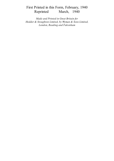# First Printed in this Form, February, 1940<br>Reprinted March, 1940 March, 1940

*Made and Printed in Great Britain for Hodder & Stoughton Limited, by Wyman & Sons Limited, London, Reading and Fakenham*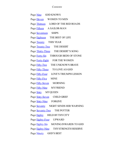#### *Contents*

Page [Nine](#page-28-0) GOD KNOWS Page [Eleven](#page-29-0) WOMEN TO MEN Page [Thirteen](#page-30-0) LORD OF THE RED ROADS Page [Fifteen](#page-31-0) A SAILOR-MAN Page **[Seventeen](#page-32-0)** SHIPS Page **[Eight](#page-33-0)een** THE BEST OF LIFE Page [Twenty](#page-36-0) THIS YEAR Page [Twenty-Tw](#page-37-0)o THE DESERT Page [Thirty-T](#page-38-0)hree THE DESERT'S SONG Page [Forty-Six](#page-39-0) THROUGH BEDS OF STONE Page [Forty-E](#page-47-0)ight FOR THE WOMEN Page [Fifty-Two](#page-49-0) THE UNKNOWN BRAVE Page [Fifty-Thre](#page-50-0)e TO LOVE AS GOD Page [Fifty-Four](#page-51-0) LOVE'S TRIUMPH LESSON Page [Fifty-F](#page-52-0)ive MINE Page Fifty-Seven MORNING Page Fifty-Nine MYFRIEND Page Sixty MYQUEEN Page Sixty-Seven CHILD GRIEF Page Sixty-Nine FORGIVE Page Seventy NIGHT SENDS HER WARNING Page **Seventy-Two** THE POTTER Page **Eighty** HELD BYTHYCITY Page Eighty-Four UPWARD Page Eighty-Six MOVING INWARDS TO GOD Page **Eighty-Nine** THYSTRENGTH RESERVE Page Ninety GOD'S BEST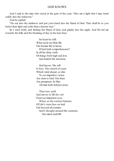#### GOD KNOWS

And I said to the man who stood at the gate of the year: "Give me a light that I may tread safely into the unknown."

And he replied:

"Go out into the darkness and put your hand into the Hand of God. That shall be to you better than light and safer than a known way."

So I went forth, and finding the Hand of God, trod gladly into the night. And He led me towards the hills and the breaking of day in the lone East.

> So heart be still: What need our little life Our human life to know, If God hath comprehension? In all the dizzy strife Of things both high and low, God hideth His intention.

God knows. His will Is best. The stretch of years Which wind ahead, so dim To our imperfect vision, Are clear to God. Our fears Are premature: In Him All time hath full provision.

Then rest; until God moves to lift the veil Fromour impatient eyes, When, as the sweeter features Of Life's stern face we hail, Fair beyond allsurmise God's thought around His creatures Our mind shall fill.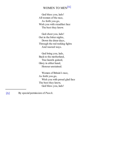# WOMEN TO MEN<sup>[A]</sup>

God bless you, lads! All women of the race, As forth you go, Wish you with steadfast face The best they know.

God cheer you, lads! Out in the bitter nights, Down the drear days, Through the red reeking fights And wasted ways.

God bring you, lads, Back to the motherland, True laurels gained, Glory in either hand, Honour unstained.

Women of Britain's race, As forth you go, Wish you with proud glad face The best they know, God bless you, lads!

[A] By special permission of *Punch*.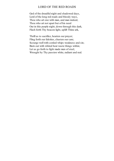#### LORD OF THE RED ROADS

God of the dreadful night and shadowed days, Lord of the long red roads and bloody ways, Thou who art one with man, and man indeed, Thou who art not apart but of his need Out in this purple night, down through this dark, Flash forth Thy beacon light, uplift Thine ark,

Thrill us to sacrifice, hearten our prayer; Fling forth our falsities, chasten our care; Scourge well with corded whips weakness and sin; Burn out with whited heat waste things within; Let us go forth to fight made men of steel, Wrought by Thy passion white, radiant and real.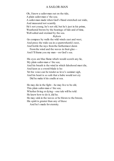#### A SAILOR-MAN

Oh, I know a sailor-man out on the tide,

A plain sailor-man o'the sea;

A sailor-man made when God's Hand stretched out wide, And measured not scantily.

He's not young, he's not old, but he's just in his prime, Weathered brown by the beatings of tide and of time, Well salted and stormed by the sea.

#### *Refrain*

Go compass by walls the wild winds east and west, And press the wide sea in a sparrowhawk's nest, And bottle the rays fromthe furthermost dawn

From the wind and the waves in their glee— And I'll frame you my man—on God's sea.

His eyes are blue flame which would scorch any lie,

My plain sailor-man o'the sea;

And his breath is the wind in which falsehood must die, And keen as a sword-blade is he:

Yet his voice can be tender as love's summer sigh,

And his heart is so safe that a babe would not cry

Did he make it his cradle at sea.

He may die in the fight—he may live to be old,

This plain sailor-man o'the sea;

Whether living or dying—one tale will be told:

He knew how to do it, did he.

He may sink in the waves or be blown to the breeze,

His spirit is greater than any of these

And he's made for eternity.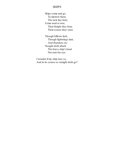#### SHIPS

Ships come and go, To-morrow there, The next day here; Come weal or woe, Their freight they bear, Their course they steer.

Though billows lash, Though lightnings dart, And thunders cry: Nought doth abash The brave ship's heart Nor turn his eye.

I wonder if my ship runs so, And in its course so straight doth go?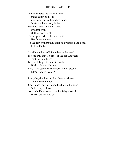#### THE BEST OF LIFE

Winter is here; the tall torn trees Stand gaunt and still; Their strong, brown branches bending White-clad, on every hill— Bending, laden and earth-ward Under the will Of the grey cold sky To the grave where the best of life Has fallen to die— To the grave where their offspring withered and dead, In-trodden lie. Stay! Is the best of life the leaf or the tree? Is it the fruit that is borne, or the life that bears That God shall see? Is it the foliage of beautiful deeds Which pleases His heart, Or is it the sap of the strength, which bleeds Life's grace to impart? It may be, that looking fromheaven above To the world below, God values the brown and the bare old branch With its age of woe As much, if not more, than the foliage wreaths Which we treasure so.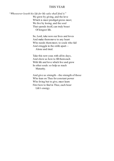#### THIS YEAR

"*Whosoever loseth his life for My sake shall find it.*" We grow by giving, and the love Which is most prodigal grows most; We live by losing, and the soul That spends itself, can truly boast Of longest life.

> So, Lord, take now our lives and loves And make themmove to any heart Who needs themmost; to souls who fail And struggle in the strife apart— Alone and tired.

Take this new year, with all its days, And show us how to fill themeach With life and love which live and grow In other souls: so help us reach Maturity.

And give us strength—the strength of those Who lean on Thee for constant power Who living but to give, must learn First how to find in Thee, each hour Life's energy.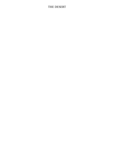## THE DESERT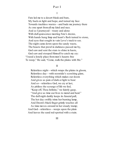#### PART I

I

Fate led me to a desert bleak and bare, My back on light and hope, and turned my face Towards trackless wastes—and bade me journey there As one apart fromall my kind and race. And so I journeyed—weary and alone With dull quiescence meeting Fate's decree, With hands hung limp and heart's flesh turned to stone, And eyes that sought in vain Love's track to see. The night came down upon the sandy waste, The beasts that prowl in darkness passed me by, God saw and sent the stars to shine in haste, God saw and stooped Himself to catch my cry: "I need a lonely place frommen's haunts free To weep," He said, "Come, walk the plains with Me."

II

Relentless night—which wraps the plains in gloom, Relentless day—with noontide's scorching glare, Relentless everything which makes our doom And gives us pain of dark or light to bear: And so—relentless God, we cry at last, As pitiless the scourge of life we feel, "Keep off, Thou Infinite," we faintly gasp, "And give us time our lives to mend and heal." The dull night darkly keeps its funeral pall, The hot day swiftly trims her burning lamp, And Doom's black finger grimly touches all As time moves onward in her steady tramp; And God—relentless—weeps upon the plain And leaves the sand red-spotted with a stain.

III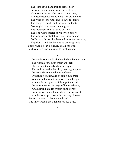The tears of God and man together flow For what has been and what has still to be; Man weeps because he cannot truly know, And God because He both must know and see. The woes of ignorance and knowledge meet; The pangs of doubt and throes of certainty Co-mingle in the desert air and greet The footsteps of unfaltering destiny. The long waste stretches widely on before, The long waste stretches widely frombehind— God's heart drops blood—and human feet are sore, Hope lost—and death alone as seeming kind: But for God's heart no kindly death can wait, And man with God walks on to meet his fate.

#### IV

On parchment scrolls the hand of scribe hath writ The record of the ages which we seek; On continent and island axe has split The rocks asunder that the years might speak On beds of stone the history of men, Of Nature's travels, and of time's sure tread When man knew not the way to hold his pen And earth's deep riches idly kept their bed. On human hearts the ways of love are burnt, And human pain lies written on the brow, Fromhuman hands the marks of toil are learnt,

And histories pen down the passing Now— But on the sand of deserts dimly red The tale of God's great loneliness lies dead.

V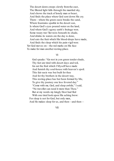The desert dawn creeps slowly fromthe east, The filtered light falls through the mantled sky, And shows the track of lonely man or beast, And finds the place where God sent down His cry. There—where the green oasis breaks the sand, Where fountains sparkle in the desert sun, Is where God's eyes poured water on the land, And where God's agony earth's fruitage won. Some weary trav'ller rests beneath its shade, And drinks its waters ere the day is done, And eats the fruit which His blood-drops have made, And finds the sleep which his pain-vigil won:

Yet God moves on—the red marks on His face To make for man another resting-place.

#### VI

God speaks: "Go rest in yon green tender shade, Thy feet are tired with desert days and toil, Go eat the fruit which I Myself have made And furnish thy soul-house with heaven's spoil. This fair oasis was but built for thee And for thy brothers in the desert way, This resting-place has but been formed by Me, To give thy journey one less fevered day." "Come with me, God, and sleep awhile," I said, "No traveller can need it more than Thou." But at my words my kingly Host had fled With one tired look upon His aching brow:

For sleep is not for God, but only men, And He makes sleep for us, and then—and then—

VII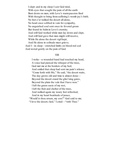I slept: and in my sleep I saw God tired, With eyes that sought the pain of all the earth Bent down on men, with Love's warmpassion fired With thought to bring fromsuffering's womb joy's birth. No feet e'er walked the desert all alone, No heart once sobbed in vain for sympathy, No anguished soulsent once its fevered groan But found its balmin Love's eternity. And still God worked while men lay down and slept, And still God gave that men might still receive, While He alone the desert vigil kept,

And He alone in solitude must grieve; And I—in sleep—stretched limbs on blood-red sod And rested gently on the pain of God.

#### **VIII**

I woke—a wounded hand had touched my head, A voice had pierced the whisper of the trees, God met me at the borders of my bed, And smiled that sleep had sent me pain's release. "Come forth with Me," He said, "the desert waits, The day grows old and time is almost done— Beyond the desert stand the glist'ning gates, Beyond the plain the vale that I have won." I left the green oasis of my rest, I left the fruit and shelter of the trees, And walked again my weary feet refreshed, And in my heart beatitude of peace, "Would'st thou return, my son?" God said to me; "I love the desert, God," I cried—"with Thee."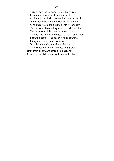#### PART II

This is the desert's song—sung by its God In loneliness with me; listen who will And understand who can—who knows the rod Of sorrow, knows the balmwhich meets its ill: Who once has felt the curse of sin knows best The crown of Love's forgiveness—who has borne The brunt of toil finds recompense of rest, And he whose days embrace the night, greet morn— But none beside. The desert's song can find Interpretation in those lives alone Who left the valley's melodies behind And waited tillslow harmonies had grown Born fromdiscordant strife and lonely pain Upon the awful distances of God's wide plain.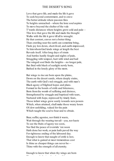#### THE DESERT'S SONG

Love that gave life, and made the life it gave To seek beyond contentment, and to crave The better attitude where passion fires To heights unreached—where the lone soul aspires To move beyond the shelter of the vale T'wards distances where heights grow cold and pale— This love that gave the life and made the thought Walks with the life it gave till all is wrought. He that content, craves not a better thing Than crawling near the earth can sometime bring, Finds joy low down, short-lived, and earth-impressed; To himwhomGod lends wings at length the best Reveals itself. After long days of strain And battles hardly fought and nights of pain, Struggling with tempest, hurt with wind and hail The winged soul finds the heights—no longer pale, But fired with blush of sunlight newly born, Bathed in the lonely glory of the morn.

But wings to rise are born upon the plains, Down on the desert sands, where deeply stains, The earth with God's red struggle, and with man's Black agony of blighted hopes and plans. Formed in the bonds of strife and bitterness, Born fromthe womb of suffering and distress, Strengthened by struggle and baptised with tears, Nurtured with hope, repressed by timely fears, Those infant wings grow surely towards new powers Which, when attained, shall make those weary hours Of slow unfolding, valued for the pain Which taught the soul to bear and to obtain.

Bear, suffer, agonise, nor think it waste, Wait through the wearing travail—yea, nor haste To see the fruits of agony too soon, Nor find the peace of eventide 'ere noon Hath done her work, or pain hath paved the way For righteous ending of the laboured day. Enough to know that naught of strife is lost, That what is gained at most tremendous cost Is thine as cheaper things can never be— Thine with the strength of all eternity.

Enough to know that when thy wings are born Thou, too, shalt view the morning of the morning of the morning of the morning of the morning of the morning of<br>The morning of the morning of the morning of the morning of the morning of the morning of the morning of the m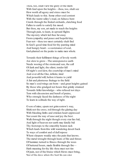Thou, too, shalt view the glory of the morn With God upon the heights—thou, too, shalt see How worth all agony and stress must be Which leads to this. Some other soul content With the warm valley's road, on fulness bent Crawls through the fruited orchards, clutching food Fallen to earth to satisfy his mood. But thou, my son, art made to reach the heights Through pain, to learn, in upward flights The mystery which led thee far away Fromsympathy and peace and hopeful day. Fear not—thou too most certainly shalt find In God's good time food for thy panting mind And hungry heart—a sustenance of soul, God-planted on the peaks to make men whole.

Towards their fulfilment things of lovely worth Are slow to grow—The unresponsive earth Needs wooing of the stormand sun, the call Of dark and light, the silent, tender fall Of night's cool dew, the courtship of man's mind And over all the One, infinite, kind And powerful will, before it learns to yield A fair and plenteous fruitage to the field: So man's soul-wings are born—and great heights gained By those who grudged not hours that grimly strained Towards fuller knowledge—who refused not days Torn with dissension and bereft of praise, Who strongly faced the darkness of the night To learn in solitude the way of right.

O son of mine, spurn not grimsorrow's way, Shirk not the cross, toil through the glaring day With bleeding limbs and stricken heart oppressed Nor count the way of ease and joy the best. Walk through the night though every star lies hid, And light of heaven nor earth may kindly bid Thy footsteps to the smoothly beaten rack Which leads fromthis wild wandering desert back To ways of comfort and of dull repose Where sleepers weakly miss the pain that knows. The metal wrought through heats of fire and throes Of hammer, turned to fitness through the woes Of battered hours, made flexible through fire— Hath meaning for thy life: thou must not tire Of pain, nor of the bruise which blows must bring, Nor of the days when thy hurt lip can sing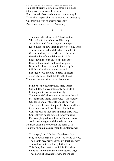Nor of the days when thy hurt lip can sing No note of triumph, when thy struggling moan Of anguish rises to a silent throne. Forth fromthe blows of circumstance at length Thy spirit shapen shall have proved her strength; Out fromthe fires of sorrow presently Pass thou refined for Love's eternity.

\* \* \* \* \*

The voice of God was still. The desert air Vibrated with the echoes of His song; A single stone I found me, and in prayer Knelt in its shadow through the whole day long— The curious wonder of the day's bare light Grew round me, but the shelter of the stone Gave kindly refuge till the tactful night Drew down the curtain on my altar lone. Once in the desert I had slept for pain, Now in the desert wrestled I for strength, Did Jacob's spirit visit earth again? Did Jacob's God refuse to bless at length? There in the lonely East the daylight broke— There on my altar stone, dead hope awoke.

Mine was the desert: yet no more for me Should desert ways mean only desert toil, I triumphed in my pain—eternally, The voice of God must sound athwart the soil. My dumb lips found their voice—the victory Of silence and of struggle should be mine— These eyes beyond the purple plain should see Its borders toward the distant hills incline. Content with all that men had misnamed loss, Content with failing where I fondly fought For triumph; glad to follow God's bare Cross

And know the glory of the pain unsought: No more should sorrow bear the name of ill, No more should pleasure mean the untamed will.

"I triumph, Lord," I cried, "My desert day May know its nights of doubt, its hours of woe, The beasts may prowl across my trackless way, The waters that I drink may bitter flow: This thing I trust—that which is life indeed Lives not in circumstance, nor outward ways, These are but servants to mine inner need,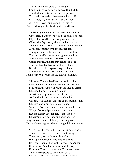These are but ministers unto my days. Come pain, come anguish, come all kind of ill, The ill which waits on hate, or deeper yet, That which attendeth love—combine to kill My struggling life until this sun doth set— I fear ye not—God reigns upon His throne, And I—through bloody struggle—am His own.

"All through my youth I dreamed of loveliness Of pleasant pathways through the fields of peace, Of joy that would not weary grow nor less, Of wealth of sympathy that would not cease. Yet hath there come to me through pain's embrace A full contentment with my stricken lot, Though fierce her hands not cruel is her face, The breath of her warmpulsing passion, hot With meaning and with mystery of strife, Comes through the lips that cannot all belie Their truth of tenderness and love of life,

Nor all their still compassion quite deny. That I may learn, and know, and understand, I ask no more, Lord, in the life Thou'st planned.

"Strike as Thou wilt—I bare me to the stripes I can achieve through sorrow that which some May reach through joy; within the steady gripes Of corded misery, to me may come A patient strength to live the life I must, And in that living a sure knowledge find Of some true thought that makes my journey just, Of some kind working of a wiser mind. Stay not Thy hand—nor heed me when the smart Wrings frommy lips a prayer to let me go— Heed rather my first longing—that the part Of pain's pure discipline and sorrow's woe

May not content me, if through bearing more Knowledge may grow where struggled doubt before.

"This is my hymn, God; Thou hast made its key, Thou hast resolved its discords into song, Thou hast given volume to its melody, Built up its harmonies and made it strong. How can I thank Thee for the peace Thou'st lent, How praise Thee for the lesson of the way, How love Thee for the sorrow Thou hast meant To lead me upward to the further day? Do Thou Who gave the desert and the song,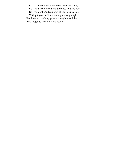Do Thou who gave the desert and the song, Do Thou Who willed the darkness and the light, Do Thou Who'st tempered all the journey long With glimpses of the distant gleaming height, Bend low to catch my praise, though poor it be, And judge its worth in life's reality."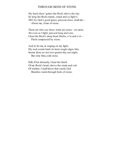#### THROUGH BEDS OF STONE

My back sheer 'gainst the Rock; above the sky: So long the Rock stands, stand and so fight I; Till I, by God's good grace, pressed close, shall die— About me, Arms of stone.

There are who say these Arms are stone—no more, Yet even as I fight, pressed long and sore, I hear the Rock's deep heart throbs, o'er and o'er— Flesh compassèd by stone.

And if, for me, in waging on my fight, My rock seems hard, its keen rough edges bite, Seems there no rest nor quarter day nor night, But only firm, cold stone.

Still, if but distantly, I hear the throb Of my Rock's heart, above the strain and sob Of warfare, I shall know that surely God Breathes warmthrough beds of stone.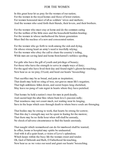#### FOR THE WOMEN

In this great hour let us pray for the women of our nation; For the women in the royal homes and those of lower station; For women honoured most of all as soldiers' wives and mothers: And the women who send forth their friends, their lovers, and their brothers.

For the women who must stay at home and do the common caring For the welfare of the little ones and the household burden-bearing; For the women in whose motherhood the future generation Must find the nucleus of a new and consecrated nation.

For the women who go forth to work among the sick and dying, On whose strong heart an army's need is trustfully relying; For the women who obey the call to share the country's toiling, While men are saving land and home fromhatred's ruthless spoiling.

For girls who have the gift of youth and privilege of beauty; For those who have the strength to serve in simple ways of duty; For the aged who have lived their day and found night's gloom far-reaching; Now hear us as we pray, O Lord, and heed our hearts' beseeching:

That sacrifice may be as bread, and pain as inspiration; That death may hold no sting of woe, nor graves mean life's negation; That high ambitions fallen down, and secret hopes long cherished, May leave no pang of vain regret in hearts where they have perished.

That homes be held a nation's trust for men in peril deadly, And sacred kept the altar fires where burn love's passion redly; That weariness may not count much, not waiting wear its longing, Save in the hope which sees through death to where brave souls are thronging.

That bodies may be strong to work, that hearts be strong for sorrow; That this day's strength may not be spent in fearing for the morrow; That there may be no futile hour when will shall be unready, No shock of adverse circumstance to find the hands unsteady.

That naught which womanhood can do for manhood shall be wanted; In office, home or hospital may spirits be undaunted. And with it all a quiet heart, a vision of Love's splendour, Which keeps within the busy life the woman sweet and tender. Oh, God of Deborah and Ruth, O Fatherhood far-reaching, Now hear us as we voice our need and grant our hearts' beseeching.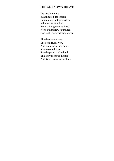#### THE UNKNOWN BRAVE

We read no name In honoured list of fame Concerning that brave deed Which cost you dear. None other gave you heed, None other knew your need Nor sent you heart'ning cheer.

The deed was done, But not a laurel won, And not a word was said. Your covered scar Ran deep and trickled red: This serves for us instead, And God—who was not far.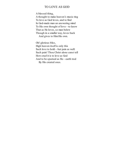#### TO LOVE AS GOD

<span id="page-28-0"></span>A blessed thing, A thought to make heaven's music ring To love as God loves, and to find In God-made man an answering mind To His own thought of love—to know That as He loves, so man below Though in a smaller way, loves back And gives to HimHis own.

Oh! glorious bliss, High heaven itself is only this Such love to hold—but pain as well: Such pain! Thou Christ alone canst tell How cruel it is to love as God And to be spurned as He—earth trod By His created ones.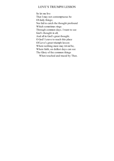#### LOVE'S TRIUMPH LESSON

<span id="page-29-0"></span>So let me live That I may not contemptuous be Of daily things; Nor fail to catch the thought profound Which sometimes rings Through common days. I want to see God's thought in all, And all in God's great thought. O God! I crave to reach this place Of Love's great triumph lesson Where nothing more may trivial be, Where faith, on dullest days can see The Glory of the common things When touched and traced by Thee.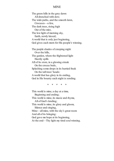#### MINE

<span id="page-30-0"></span>The green hills in the grey dawn All drenched with dew; The wide paths, and the smooth lawn, Crocuses—a few, The dark trees, rising high Out of the mist, The low light of morning sky, Earth, newly kissed; A world that is only just beginning, God gives each morn for His people's winning. The purple shades of creeping night Over the hills, The garden, where the frightened light Hastily spills All of its store, in a glowing streak On the crocus beds, Splashing some drops in its hurried freak On the tall trees' heads: A world that has glory in its ending, God in His bounty each night is sending.

\* \* \* \* \*

This world is mine, a day at a time, Beginning and ending; This world is mine, its music and rhyme, All of God's lending; This world is mine, its glory and gloom, Silence and singing, Mine—all mine, with the sky's great room And all of its bringing: God gave me hope at its beginning, At the end—Thy light my tired soul winning.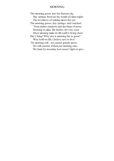#### MORNING

<span id="page-31-0"></span>The morning grows into the Eastern sky, Day springs fromout the womb of silent night; The loveliness of waking meets the eye. The morning grows; day springs; and I amhere 'Twixt darker shadows and the blaze of noon, Morning is mine; life throbs; for very soon Must morning make its life earth's living cheer. Day's King! Why else is morning but to grow? Why hold we life, Creator, save to live? 'Tis morning still—we cannot greatly know; We will content, if fromour morning cries We learn by noonday how noon's light to give.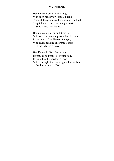#### MY FRIEND

<span id="page-32-0"></span>Her life was a song, and it sang With such melody sweet that it rang Through the portals of heaven, and the host Sang it back to those needing it most, Sang it into their hearts.

Her life was a prayer, and it prayed With such passionate power that it stayed In the heart of the Hearer of prayer, Who cherished and answered it there In the fullness of love.

Her life was in God: that is why Its praises and prayers, fromthe sky Returned to the children of men With a thought that outstripped human ken, For it savoured of God.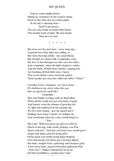#### MY QUEEN

<span id="page-33-0"></span>Frail as some smaller flower Hiding its sweetness in the coolest shade Fresh as the early dew in yonder glade In the day's opening hour— Such is my queen; The one who holds in tender little hands This human heart of mine: like iron bands

That are not seen.

• • • • •

She does not live just here—once, long ago, A greater love than mine was calling, so She went fromme awhile—my sister-friend, But though we cannot talk, I sometimes send My love to her through one who sees her often; And sometimes, when the lights begin to soften, And the birds, behind their curtains, singing low, Are hushing all their little ones, I know That as the Spirit-voices round me gather, There speaks just one who called my father "Father."

I wonder if she's changed—as I have done, If I shall know my sister, when the sun Has set upon this earth-life?

#### I remember

How one bright evening, early in September, When all the world was just one blaze of gold, And beauty wore the charms of growing old, As light was mellowed in the autumn sky, We two were sitting—just my queen and I— Holding each other's hands, as children do, And wondering what the years would bring us. . . . "You,"

She said, "Will soon grow up and you will see Much in this big, wide world, perhaps you'll be Great some day;" then her soft deep eyes would grow Larger and larger, and the dying glow Of the great sun-world would linger brightly Over that broad, low brow, just touching lightly Her dark, straight locks, splashing with deepest gold, A few loose hairs, strayed fromtheir tightened fold. "And you?" I almost whispered; for an air Of other-worldliness seemed near, I dare Not speak too loudly. Then she looked at me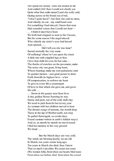Not speak too loudly. Then she looked at me And smiled (Ah! then I could not clearly see Quite what that smile meant!) and she softy said, Gazing across at the broad sea of red, "I don't quite know"; but then she said no more, And silently we sat—my small heart sore For something I had missed; I knew that near Had sounded voices that I could not hear— . . . I think it must have been We both had stepped so near to the Unseen, But for some reason I the angel missed Who silently my sister's eyes had kissed And opened....

Did I tell you she was lame? Sacred eternally the very name Of suffering! where'er I see upon the street A little one with crippled legs or feet, I love that child for ever, for her sake— The throbs of crutches on the pavement, make The noisy city one great, living heart, Whose beatings make my own pulsations start To quicker motion—one great power to draw Forth fromlife its highest love—a law Of compensation, to enforce my heart To give to every life a counterpart Of love to that which she gave me, and gives Me still...

. . . Down in the quarry near there lives A tiny golden flower, bursting its way Sunny and pure, out of the cold, dark clay. We used to pick them for her (every year As summer with her children moved to hear The distant songs of autumn, she would drop These in the lap of Mother-earth, not stop To gather themagain, so cooler days Found summer written in earth's hidden ways) And so, as month by month we travel round I find her memory in the very ground We tread...

But the March days are very cold; The winds are blowing keenly, we are old In March; ten years seems long ago; Ten years in March she died; thus I know That so much I amolder. We count our years (We women folk), fromwhen our hearts bled tears: Fromwhen our babies died, fromwhen the sound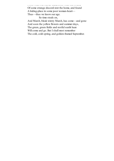Fromwhen our babies died, fromwhen the sound

Of some strange discord rent the home, and found A hiding-place in some poor woman-heart— Thus—thus we know our age.

So time steals on,

And March, bleak wintry March, has come—and gone And soon the yellow flowers and summer days, The green, green fields and restful sunlit haze Will come and go. But I shall most remember The cold, cold spring, and golden-framed September.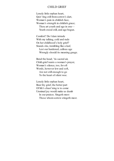#### CHILD GRIEF

<span id="page-36-0"></span>Lonely little orphan heart, Quiv'ring still fromsorrow's dart, Woman's pain in childish face, Woman's strength in childish grace; Thou art youth and age in one— Youth stood still, and age begun.

Comfort? Do I dare intrude With my talking, cold and rude On her childhood's holy grief? Stands she, trembling like a leaf, Lest our hardened, callous age Wrongly should its meaning gauge.

Bend the head; 'tis sacred air, Child-grief wants a woman's prayer, Woman's silence, too, for oft Words, however low and soft, Are not still enough to go To the heart of silent woe.

Lonely little orphan heart, Bear thy grief, the better part Of life's chast'ning is to come: Unmixed joy would make us dumb In our praises. Singeth most Those whomsorrow stingeth most.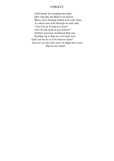#### FORGIVE

<span id="page-37-0"></span>Little hands are creeping into mine, Quiv'ring lips are lifted to be kissed, Bluest eyes through broken tear-veils shine, As when stars look through an early mist. "Can it be as if I had not done? Can I be the same as just before?" Subtlest question, burdened little one, Startling me to find my own heart sore. God! can we be as if we had not done? And can we win what once we might have won Had we not erred?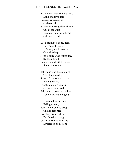#### <span id="page-38-0"></span>NIGHT SENDS HER WARNING

Night sends her warning dear, Long shadows fall; Evening is closing in— God over all Shines fromHis golden throne Out of the west— Shines to my old worn heart, Calls me to rest.

Life's journey's done, dear, Nay, do not weep, Love's wings will carry me Over the deep; Hope's hand will comfort me, Swift as they fly, Death is not death to me— Souls cannot die.

Tell those who love me well That they must give Some of that love to those Who daily live Lonely and comfortless, Crownless and sad; Tell themto make those lives Love-crowned and glad.

Old, wearied, worn, dear, Falling to rest, Soon I shall sink to sleep On His dear breast; Don't cry for me, dear, Death ushers song; Go—make some other life Sweetened and strong.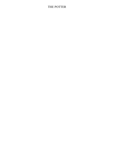## <span id="page-39-0"></span>THE POTTER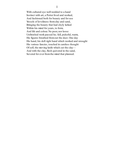With cultured eye well wedded to a hand Instinct with art, a Potter lived and worked, And fashioned both for beauty and for use Vessels of loveliness fromclay and sand, Bringing the beauty that had shyly lurked Within his mind for years, to form, And life and colour. No poor, nor loose Unfinished work passed he; full, pulseful, warm, His figures breathed fromout the dust. One day His hand, his deft right hand which worked and wrought His various fancies, touched in careless thought Of self, the moving knife which cut the clay— And with the clay, flesh quivered in the sand, Severed for ever fromthe mind that planned.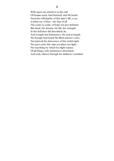With open ear, attentive to the call Of human need, God listened: and He heard Fromthe still depths of this man's life, a cry, A bitter cry of fear—the fear of all The years to come, of hope not just deferred But dead; his dreams, his life, his strength In the dull dust did desolately lie, And nought but barrenness, the end at length. Yet though God heard He lifted armnor voice, Nor pierced the denseness of the awful night Nor gave unto this man nor place nor light, Nor anything by which he might rejoice. Of all things only barrenness abounded, And only silence through his darkness sounded.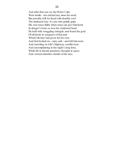And after that one cry the Potter's lips Were dumb—nor uttered any more his need; But proudly still, he faced with deathly soul The darkened way. As one who grimly grips His own tense limbs when none can give himheed In danger's hour, so now his straitened heart He held with struggling strength, and found the goal Of all desire in conquest of that part Which Destiny had given for his own. And God looked on—men said—and left himworn And wrestling on Life's Highway, conflict-torn And uncomplaining in the night's long lone, While He in distant greatness thought in space And viewed relentless details of the race.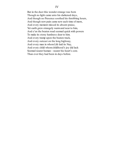#### IV

But in the dust this wonder strange was born Though no light came unto his darkened days, And though no Presence soothed his throbbing hours, And though new pain came new each time of morn, And every moment missed its absent praise, Yet earth grew strangely warmand near to him, And e'en the beaten road seemed quick with powers To make its stony hardness dear to him. And every tramp upon the beaten track, And every outcast on the long highway, And every man in whomLife laid its Nay, And every child whomchildhood's joy did lack Seemed nearer human—nearer his heart's core. Than ever they had been in days before.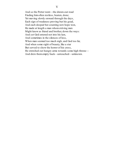And so the Potter went—the drawn-out road Finding himoften restless, beaten, done; Yet moving slowly onward through the days, Each sign of weakness proving but his goad, And each despair but counting new hope won, He made at length a man whomstriving men Might know as friend and brother, down the ways: And yet God entered not into his ken, And sometimes in the silences of loss, When man seemed too much nigh, and God too far, And when some sight of beauty, like a star But served to show the horror of his cross, He stretched out hungry arms towards some high throne— And drew themempty back—untouched—unknown.

#### V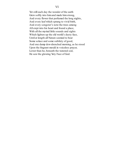Yet still each day the wonder of the earth Grew softly into himand made himstrong, And every flower that perfumed the long nights, And every leaf which sprang to vivid birth, And every songster's note the trees among All crept into his heart and found a place, With all the myriad little sounds and sights Which lighten up the old world's dusty face, Until at length all Nature seemed to bear Some solace and some subtlety of good, And one damp dew-drenched morning, as he stood Upon the fragrant mould in voiceless prayer, Lower than he, beneath the watered sod, He saw the glowing Very Face of God.

#### VI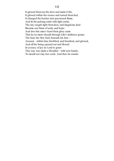#### VII

It glowed fromout the dust and made it fire, It glowed within the stones and turned themfuel, It changed the bushes into passioned flame, And lit the pulsing earth with light entire. The sky caught light fromdust, and kingdoms dual Became one blaze of unity and hope. And into this man's heart their glory came That he no more should through Life's darkness grope: The God, the Very God, beneath his feet— Around—within him, throbbed, and breathed, and glowed, And all his being opened out and flowed In ecstasy of joy its Lord to greet: This way was made a Moulder—with new hands, To mould not clay but souls. And thus he stands.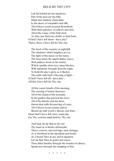#### HELD BY THY CITY

<span id="page-47-0"></span>Left far behind are the meadows, Part of the past are the hills, Made into memory chain-links Is the music of streamlets and rills; All of those sweet-scented flowerbeds With their splashes of yellows and reds, All of the songs of the bird choir As they put their wee chicks to their beds. O God! I have left them—have pity! These, these, I have left for Thy city.

The hush of the country at nightfall, The shadows which lengthen at eve, The light of the moon on the water, The hour when the marsh-fairies weave Web palaces down in the rushes Which sparkle when rosy morn blushes, With diamonds brought fromthe night To hold the day's glow, as it flushes The earth with God's blessing of light— O God! I have left all—have pity— All this I have left for Thy city.

All the sweet breath of the morning, The rousing of nature fromrest, All of the charmof the noonday In the garden that greeted the west; All of the friends and the faces Grown dear with the passing of years, All of those loved country places Bound up with youth's fancies and fears— Great God! I have left, have some pity For Thy country-maid held by Thy city.

And God, let me find in the city Thy heart as it throbs all beneath These sorrows, and strivings, and sinnings, As it throbbed in the moorland and heath; As I found Thee in sky and in meadow, Let me find Thee in garret and street, Thou didst breathe through the wonder of silence, Speak now through the tramping of feet.

• • • • •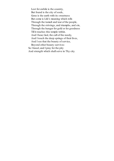Lost for awhile is the country, But found is the city of souls, Gone is the earth with its sweetness But come is Life's meaning which rolls Through the tumult and tear of the people, Through the strivings, and triumphs, and sin, Through the hunger for gold or for goodness Till it reaches this temple within. And I hear, God, the call of the needy, And I touch the deep springs of their lives, And I see that the beauty of service, Beyond other beauty survives: So I kneel, and I pray for the pity And strength which shallserve in Thy city.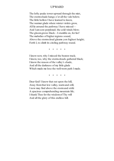#### UPWARD

<span id="page-49-0"></span>The lofty peaks tower upward through the mist, The storm-shade hangs o'er all the vale below; The little hollow I have learned to know, The warmer glade where winter violets grow, All lie around the pathway I have missed— And I amsore perplexed; the cold winds blow; The gloomgrows black—I stumble on, for list! The melodies of higher regions sound, Above the storm-cloud gleams yon highest height; Forth I, to climb its circling pathway round.

• • • • •

I know now, why I missed the beaten track; I know, too, why the storm-clouds gathered black; I know the reason of the valley's shade, And all the darkness of my little glade Which made me lose the well-worn path I made.

• • • • •

Dear God! I know that out upon the hill, Away fromthat low valley, warmand still, I now may find above the stormand strife A spacious comprehending mountain life; I thank Thee for the wisdomof Thy will And all the glory of this endless hill.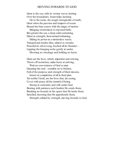#### MOVING INWARDS TO GOD

<span id="page-50-0"></span>Great is the sea, with its stormy waves lashing Over the boundaries, foam-ships dashing

On to the rocks, the rough strongholds of earth; Great when the passion and tempest of ocean Bound the bare coasts with the magic of motion

Bringing storm-music to mystical birth; But greater the sea, a deep calmcontaining, Silent in strength, fromturmoil refraining,

Hiding its power in a motionless waste; Tranquil and tender, blue, almost to wonder, Peaceful its silver-song, hushed all its thunder— Lapping the hanging rocks gently in under,

Showing no wreckage and holding no haste.

Great are the lives, which, impatient and striving, Throw off restriction, make haste at arriving,

Wait no convenience of God or man Grasping the end—stumble on to fruition, Full of the purpose and strength of their mission,

Intent on completion of all in their plan. Yet nobler I hold, are the lives that, far seeing, Cover with peace all the turmoil of being,

Strong in surrender, and still, under God. Bearing with patience each burden He sends them, Breaking no bounds in the space that He lends them, Satisfied, knowing that He apprehends them,

Strength calmed by strength, moving inwards to God.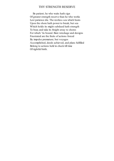#### THY STRENGTH RESERVE

<span id="page-51-0"></span>Be patient; he who waits hath sign Of greater strength reserve than he who works Lest patience die. The restless sea which beats Upon the shore hath power to break; but sea Which holds its might subdued hath strength To bear, and take its freight away to shores For which 'tis bound. Bare wreckage and designs Frustrated are the fruits of actions forced By impulse premature; but voyages Accomplished, deeds achieved, and plans fulfilled Belong to actions held in check till time Of rightful birth.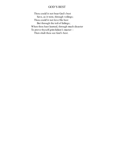### GOD'S BEST

<span id="page-52-0"></span>Thou could'st not bear God's best Save, as it were, through veilings; Thou could'st not love His best But through the toil of failings; When thou hast learned, through much disaster To prove thyself grim failure's master-Then shalt thou see God's best.